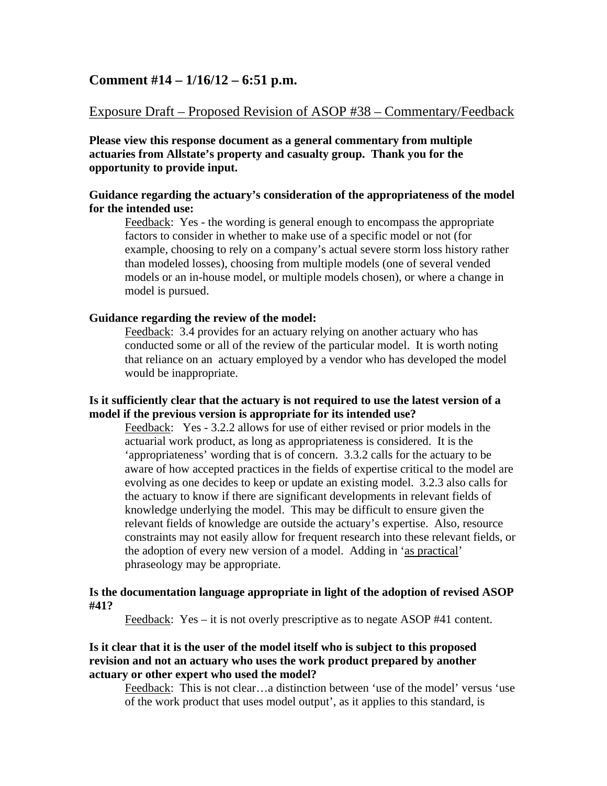# **Comment #14 – 1/16/12 – 6:51 p.m.**

# Exposure Draft – Proposed Revision of ASOP #38 – Commentary/Feedback

**Please view this response document as a general commentary from multiple actuaries from Allstate's property and casualty group. Thank you for the opportunity to provide input.** 

## **Guidance regarding the actuary's consideration of the appropriateness of the model for the intended use:**

Feedback: Yes - the wording is general enough to encompass the appropriate factors to consider in whether to make use of a specific model or not (for example, choosing to rely on a company's actual severe storm loss history rather than modeled losses), choosing from multiple models (one of several vended models or an in-house model, or multiple models chosen), or where a change in model is pursued.

#### **Guidance regarding the review of the model:**

Feedback: 3.4 provides for an actuary relying on another actuary who has conducted some or all of the review of the particular model. It is worth noting that reliance on an actuary employed by a vendor who has developed the model would be inappropriate.

## **Is it sufficiently clear that the actuary is not required to use the latest version of a model if the previous version is appropriate for its intended use?**

Feedback: Yes - 3.2.2 allows for use of either revised or prior models in the actuarial work product, as long as appropriateness is considered. It is the 'appropriateness' wording that is of concern. 3.3.2 calls for the actuary to be aware of how accepted practices in the fields of expertise critical to the model are evolving as one decides to keep or update an existing model. 3.2.3 also calls for the actuary to know if there are significant developments in relevant fields of knowledge underlying the model. This may be difficult to ensure given the relevant fields of knowledge are outside the actuary's expertise. Also, resource constraints may not easily allow for frequent research into these relevant fields, or the adoption of every new version of a model. Adding in 'as practical' phraseology may be appropriate.

#### **Is the documentation language appropriate in light of the adoption of revised ASOP #41?**

Feedback: Yes – it is not overly prescriptive as to negate ASOP #41 content.

## **Is it clear that it is the user of the model itself who is subject to this proposed revision and not an actuary who uses the work product prepared by another actuary or other expert who used the model?**

Feedback: This is not clear…a distinction between 'use of the model' versus 'use of the work product that uses model output', as it applies to this standard, is